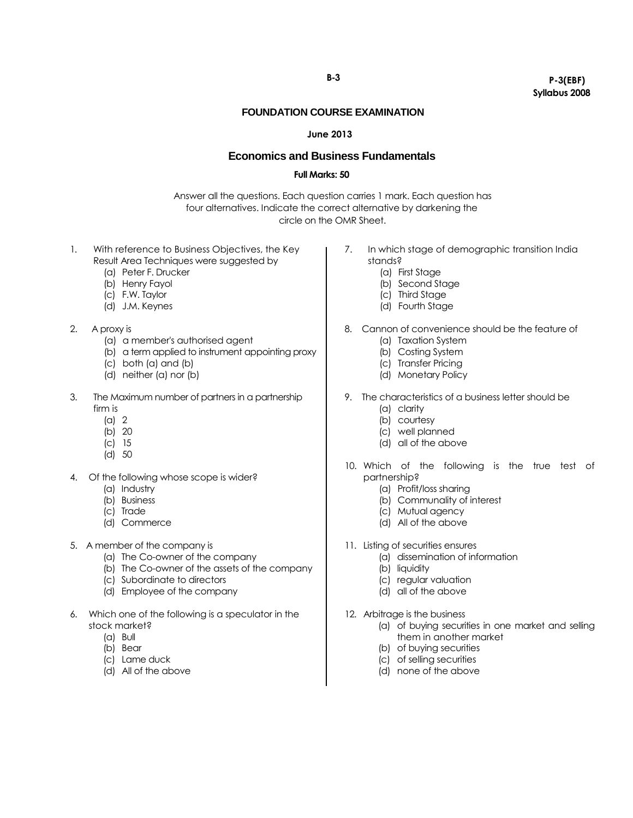#### **B-3**

## **P-3(EBF) Syllabus 2008**

#### **FOUNDATION COURSE EXAMINATION**

#### **June 2013**

# **Economics and Business Fundamentals**

### **Full Marks: 50**

Answer all the questions. Each question carries 1 mark. Each question has four alternatives. Indicate the correct alternative by darkening the circle on the OMR Sheet.

- 1. With reference to Business Objectives, the Key Result Area Techniques were suggested by
	- (a) Peter F. Drucker
	- (b) Henry Fayol
	- (c) F.W. Taylor
	- (d) J.M. Keynes
- 2. A proxy is
	- (a) a member's authorised agent
	- (b) a term applied to instrument appointing proxy
	- (c) both (a) and (b)
	- (d) neither (a) nor (b)
- 3. The Maximum number of partners in a partnership firm is
	- (a) 2
	- (b) 20
	- (c) 15
	- (d) 50
- 4. Of the following whose scope is wider?
	- (a) Industry
	- (b) Business
	- (c) Trade
	- (d) Commerce
- 5. A member of the company is
	- (a) The Co-owner of the company
	- (b) The Co-owner of the assets of the company
	- (c) Subordinate to directors
	- (d) Employee of the company
- 6. Which one of the following is a speculator in the stock market?
	- (a) Bull
	- (b) Bear
	- (c) Lame duck
	- (d) All of the above
- 7. In which stage of demographic transition India stands?
	- (a) First Stage
	- (b) Second Stage
	- (c) Third Stage
	- (d) Fourth Stage
- 8. Cannon of convenience should be the feature of
	- (a) Taxation System
	- (b) Costing System
	- (c) Transfer Pricing
	- (d) Monetary Policy
- 9. The characteristics of a business letter should be
	- (a) clarity
	- (b) courtesy
	- (c) well planned
	- (d) all of the above
- 10. Which of the following is the true test of partnership?
	- (a) Profit/loss sharing
	- (b) Communality of interest
	- (c) Mutual agency
	- (d) All of the above
- 11. Listing of securities ensures
	- (a) dissemination of information
		- (b) liquidity
		- (c) regular valuation
		- (d) all of the above
- 12. Arbitrage is the business
	- (a) of buying securities in one market and selling them in another market
		- (b) of buying securities
		- (c) of selling securities
		- (d) none of the above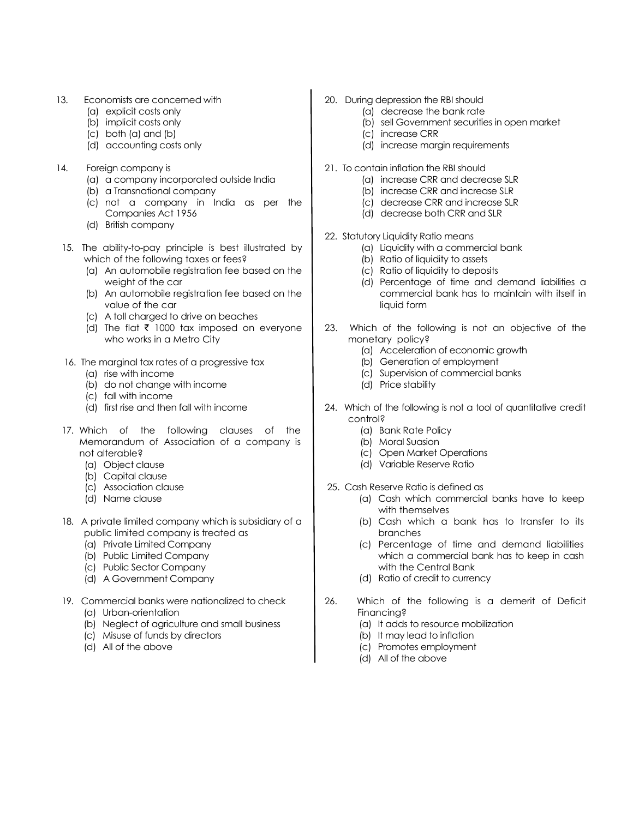- 13. Economists are concerned with
	- (a) explicit costs only
	- (b) implicit costs only
	- (c) both (a) and (b)
	- (d) accounting costs only
- 14. Foreign company is
	- (a) a company incorporated outside India
	- (b) a Transnational company
	- (c) not a company in India as per the Companies Act 1956
	- (d) British company
- 15. The ability-to-pay principle is best illustrated by which of the following taxes or fees?
	- (a) An automobile registration fee based on the weight of the car
	- (b) An automobile registration fee based on the value of the car
	- (c) A toll charged to drive on beaches
	- (d) The flat  $\bar{\tau}$  1000 tax imposed on everyone who works in a Metro City
- 16. The marginal tax rates of a progressive tax
	- (a) rise with income
	- (b) do not change with income
	- (c) fall with income
	- (d) first rise and then fall with income
- 17. Which of the following clauses of the Memorandum of Association of a company is not alterable?
	- (a) Object clause
	- (b) Capital clause
	- (c) Association clause
	- (d) Name clause
- 18. A private limited company which is subsidiary of a public limited company is treated as
	- (a) Private Limited Company
	- (b) Public Limited Company
	- (c) Public Sector Company
	- (d) A Government Company
- 19. Commercial banks were nationalized to check (a) Urban-orientation
	- (b) Neglect of agriculture and small business
	- (c) Misuse of funds by directors
	- (d) All of the above
- 20. During depression the RBI should
	- (a) decrease the bank rate
		- (b) sell Government securities in open market
	- (c) increase CRR
	- (d) increase margin requirements
- 21. To contain inflation the RBI should
	- (a) increase CRR and decrease SLR
	- (b) increase CRR and increase SLR
	- (c) decrease CRR and increase SLR
	- (d) decrease both CRR and SLR
- 22. Statutory Liquidity Ratio means
	- (a) Liquidity with a commercial bank
	- (b) Ratio of liquidity to assets
	- (c) Ratio of liquidity to deposits
	- (d) Percentage of time and demand liabilities a commercial bank has to maintain with itself in liquid form
- 23. Which of the following is not an objective of the monetary policy?
	- (a) Acceleration of economic growth
	- (b) Generation of employment
	- (c) Supervision of commercial banks
	- (d) Price stability
- 24. Which of the following is not a tool of quantitative credit control?
	- (a) Bank Rate Policy
	- (b) Moral Suasion
	- (c) Open Market Operations
	- (d) Variable Reserve Ratio
- 25. Cash Reserve Ratio is defined as
	- (a) Cash which commercial banks have to keep with themselves
	- (b) Cash which a bank has to transfer to its branches
	- (c) Percentage of time and demand liabilities which a commercial bank has to keep in cash with the Central Bank
	- (d) Ratio of credit to currency
- 26. Which of the following is a demerit of Deficit Financing?
	- (a) It adds to resource mobilization
	- (b) It may lead to inflation
	- (c) Promotes employment
	- (d) All of the above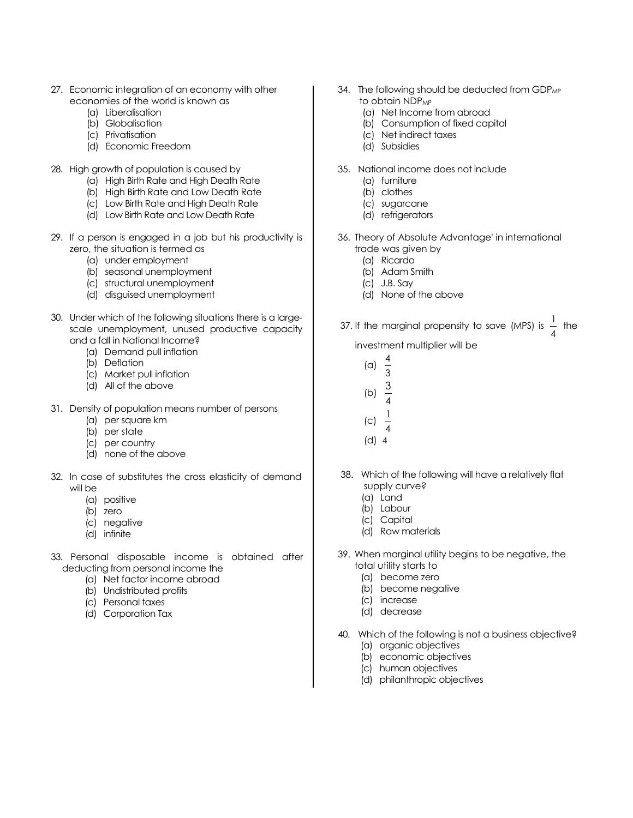- 27. Economic integration of an economy with other economies of the world is known as
	- (a) Liberalisation
	- (b) Globalisation
	- (c) Privatisation
	- (d) Economic Freedom
- 28. High growth of population is caused by
	- (a) High Birth Rate and High Death Rate
	- (b) High Birth Rate and Low Death Rate
	- (c) Low Birth Rate and High Death Rate
	- (d) Low Birth Rate and Low Death Rate
- 29. If a person is engaged in a job but his productivity is zero, the situation is termed as
	- (a) under employment
	- (b) seasonal unemployment
	- (c) structural unemployment
	- (d) disguised unemployment
- 30. Under which of the following situations there is a largescale unemployment, unused productive capacity and a fall in National Income?
	- (a) Demand pull inflation
	- (b) Deflation
	- (c) Market pull inflation
	- (d) All of the above
- 31. Density of population means number of persons
	- (a) per square km
	- (b) per state
	- (c) per country
	- (d) none of the above
- 32. In case of substitutes the cross elasticity of demand will be
	- (a) positive
	- (b) zero
	- (c) negative
	- (d) infinite
- 33. Personal disposable income is obtained after deducting from personal income the
	- (a) Net factor income abroad
	- (b) Undistributed profits
	- (c) Personal taxes
	- (d) Corporation Tax
- 34. The following should be deducted from GDP<sub>MP</sub> to obtain NDP<sub>MP</sub>
	- (a) Net Income from abroad
	- (b) Consumption of fixed capital
	- (c) Net indirect taxes
	- (d) Subsidies
- 35. National income does not include
	- (a) furniture
	- (b) clothes
	- (c) sugarcane
	- (d) refrigerators
- 36. Theory of Absolute Advantage' in international trade was given by
	- (a) Ricardo
	- (b) Adam Smith
	- (c) J.B. Say
	- (d) None of the above
- 37. If the marginal propensity to save (MPS) is  $\frac{1}{4}$  $\frac{1}{1}$  the

investment multiplier will be

- (a) 4
- 3 3
- (b) 4
- 1
- (c) 4
- (d) 4
- 38. Which of the following will have a relatively flat supply curve?
	- (a) Land
	- (b) Labour
	- (c) Capital
	- (d) Raw materials
- 39. When marginal utility begins to be negative, the total utility starts to
	- (a) become zero
	- (b) become negative
	- (c) increase
	- (d) decrease
- 40. Which of the following is not a business objective? (a) organic objectives
	- (b) economic objectives
	- (c) human objectives
	- (d) philanthropic objectives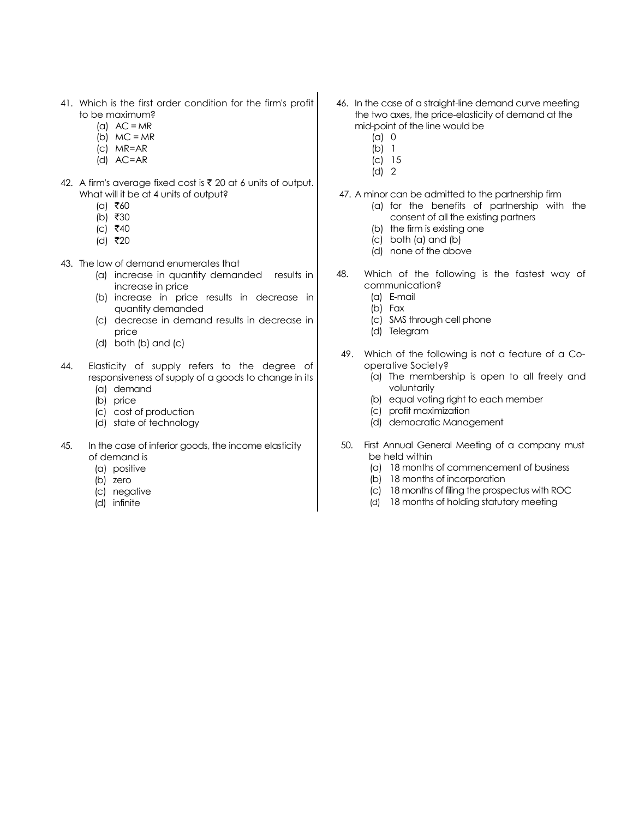- 41. Which is the first order condition for the firm's profit to be maximum?
	- (a)  $AC = MR$
	- (b)  $MC = MR$
	- (c) MR=AR
	- (d) AC=AR
- 42. A firm's average fixed cost is  $\bar{\tau}$  20 at 6 units of output. What will it be at 4 units of output?
	- $(a)$  ₹60
	- $(b)$  ₹30
	- $|c|$   $\bar{z}$ 40
	- (d) ₹20
- 43. The law of demand enumerates that
	- (a) increase in quantity demanded results in increase in price
	- (b) increase in price results in decrease in quantity demanded
	- (c) decrease in demand results in decrease in price
	- (d) both (b) and (c)
- 44. Elasticity of supply refers to the degree of responsiveness of supply of a goods to change in its (a) demand
	-
	- (b) price
	- (c) cost of production
	- (d) state of technology
- 45. In the case of inferior goods, the income elasticity of demand is
	- (a) positive
	- (b) zero
	- (c) negative
	- (d) infinite
- 46. In the case of a straight-line demand curve meeting the two axes, the price-elasticity of demand at the mid-point of the line would be
	- (a) 0
	- (b) 1
	- (c) 15 (d) 2
- 47. A minor can be admitted to the partnership firm
	- (a) for the benefits of partnership with the consent of all the existing partners
	- (b) the firm is existing one
	- (c) both (a) and (b)
	- (d) none of the above
- 48. Which of the following is the fastest way of communication?
	- (a) E-mail
	- (b) Fax
	- (c) SMS through cell phone
	- (d) Telegram
- 49. Which of the following is not a feature of a Cooperative Society?
	- (a) The membership is open to all freely and voluntarily
	- (b) equal voting right to each member
	- (c) profit maximization
	- (d) democratic Management
- 50. First Annual General Meeting of a company must be held within
	- (a) 18 months of commencement of business
	- (b) 18 months of incorporation
	- (c) 18 months of filing the prospectus with ROC
	- (d) 18 months of holding statutory meeting